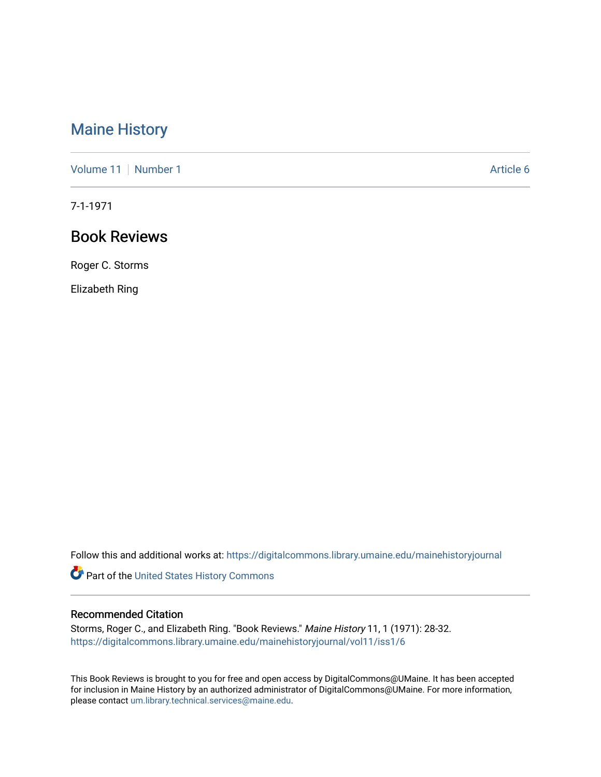# [Maine History](https://digitalcommons.library.umaine.edu/mainehistoryjournal)

[Volume 11](https://digitalcommons.library.umaine.edu/mainehistoryjournal/vol11) [Number 1](https://digitalcommons.library.umaine.edu/mainehistoryjournal/vol11/iss1) Article 6

7-1-1971

# Book Reviews

Roger C. Storms

Elizabeth Ring

Follow this and additional works at: [https://digitalcommons.library.umaine.edu/mainehistoryjournal](https://digitalcommons.library.umaine.edu/mainehistoryjournal?utm_source=digitalcommons.library.umaine.edu%2Fmainehistoryjournal%2Fvol11%2Fiss1%2F6&utm_medium=PDF&utm_campaign=PDFCoverPages) 

Part of the [United States History Commons](http://network.bepress.com/hgg/discipline/495?utm_source=digitalcommons.library.umaine.edu%2Fmainehistoryjournal%2Fvol11%2Fiss1%2F6&utm_medium=PDF&utm_campaign=PDFCoverPages) 

#### Recommended Citation

Storms, Roger C., and Elizabeth Ring. "Book Reviews." Maine History 11, 1 (1971): 28-32. [https://digitalcommons.library.umaine.edu/mainehistoryjournal/vol11/iss1/6](https://digitalcommons.library.umaine.edu/mainehistoryjournal/vol11/iss1/6?utm_source=digitalcommons.library.umaine.edu%2Fmainehistoryjournal%2Fvol11%2Fiss1%2F6&utm_medium=PDF&utm_campaign=PDFCoverPages)

This Book Reviews is brought to you for free and open access by DigitalCommons@UMaine. It has been accepted for inclusion in Maine History by an authorized administrator of DigitalCommons@UMaine. For more information, please contact [um.library.technical.services@maine.edu.](mailto:um.library.technical.services@maine.edu)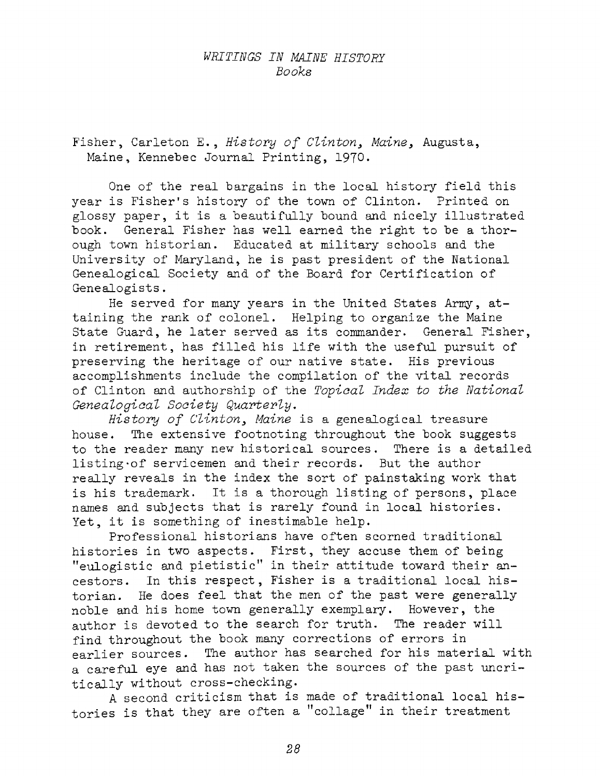### *WRITINGS IN MAINE HISTORY Books*

Fisher, Carleton E. , *History of Clinton, Maine,* Augusta, Maine, Kennebec Journal Printing, 1970.

One of the real bargains in the local history field this year is Fisher'<sup>s</sup> history of the town of Clinton. Printed on glossy paper, it is <sup>a</sup> beautifully bound and nicely illustrated book. General Fisher has well earned the right to be a thorough town historian. Educated at military schools and the University of Maryland, he is past president of the National Genealogical Society and of the Board for Certification of Genealogists.

He served for many years in the United States Army, attaining the rank of colonel. Helping to organize the Maine State Guard, he later served as its commander. General Fisher, in retirement, has filled his life with the useful pursuit of preserving the heritage of our native state. His previous accomplishments include the compilation of the vital records of Clinton and authorship of the *Topical Index to the National Genealogical Society Quarterly,*

*History of Clinton, Maine* is <sup>a</sup> genealogical treasure house. The extensive footnoting throughout the book suggests to the reader many new historical sources. There is a detailed listing of servicemen and their records. But the author really reveals in the index the sort of painstaking work that is his trademark. It is <sup>a</sup> thorough listing of persons, place names and subjects that is rarely found in local histories. Yet, it is something of inestimable help.

Professional historians have often scorned traditional histories in two aspects. First, they accuse them of being "eulogistic and pietistic" in their attitude toward their ancestors. In this respect, Fisher is a traditional local historian. He does feel that the men of the past were generally noble and his home town generally exemplary. However, the author is devoted to the search for truth. The reader will find throughout the book many corrections of errors in earlier sources. The author has searched for his material with a careful eye and has not taken the sources of the past uncritically without cross-checking.

<sup>A</sup> second criticism that is made of traditional local histories is that they are often a "collage" in their treatment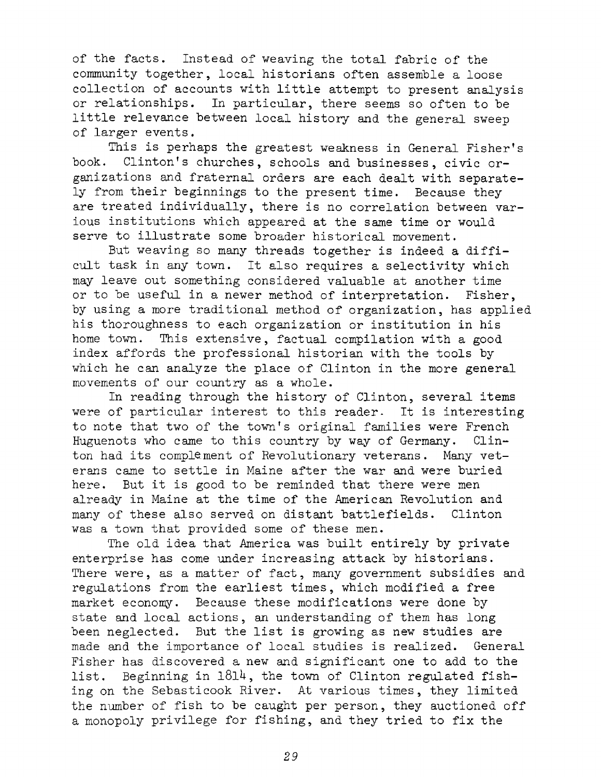of the facts. Instead of weaving the total fabric of the community together, local historians often assemble a loose collection of accounts with little attempt to present analysis or relationships. In particular, there seems so often to be little relevance between local history and the general sweep of larger events.

This is perhaps the greatest weakness in General Fisher'<sup>s</sup> book. Clinton'<sup>s</sup> churches, schools and businesses, civic organizations and fraternal orders are each dealt with separately from their beginnings to the present time. Because they are treated individually, there is no correlation between various institutions which appeared at the same time or would serve to illustrate some broader historical movement.

But weaving so many threads together is indeed <sup>a</sup> difficult task in any town. It also requires <sup>a</sup> selectivity which may leave out something considered valuable at another time or to be useful in a newer method of interpretation. Fisher, by using <sup>a</sup> more traditional method of organization, has applied his thoroughness to each organization or institution in his home town. This extensive, factual compilation with a good index affords the professional historian with the tools by which he can analyze the place of Clinton in the more general movements of our country as a whole.

In reading through the history of Clinton, several items were of particular interest to this reader. It is interesting to note that two of the town's original families were French<br>Huguenots who came to this country by way of Germany. Clin-Huguenots who came to this country by way of Germany. ton had its complement of Revolutionary veterans. Many veterans came to settle in Maine after the war and were buried here. But it is good to be reminded that there were men already in Maine at the time of the American Revolution and many of these also served on distant battlefields. Clinton was <sup>a</sup> town that provided some of these men.

The old idea that America was built entirely by private enterprise has come under increasing attack by historians. There were, as a matter of fact, many government subsidies and regulations from the earliest times, which modified a free market economy. Because these modifications were done by state and local actions, an understanding of them has long been neglected. But the list is growing as new studies are made and the importance of local studies is realized. General Fisher has discovered a new and significant one to add to the list. Beginning in  $1814$ , the town of Clinton regulated fishing on the Sebasticook River. At various times, they limited the number of fish to be caught per person, they auctioned off <sup>a</sup> monopoly privilege for fishing, and they tried to fix the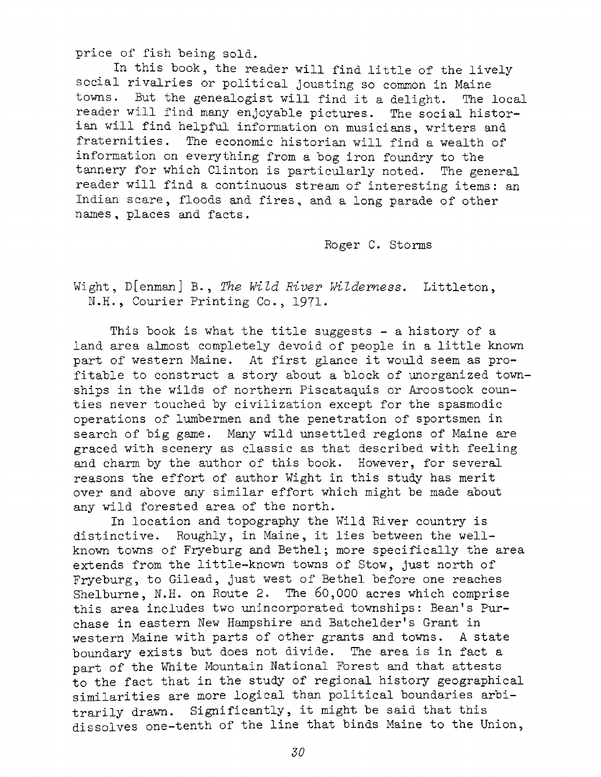price of fish being sold.

In this book, the reader will find little of the livelysocial rivalries or political jousting so common in Maine towns. But the genealogist will find it <sup>a</sup> delight. The local reader will find many enjoyable pictures. The social historian will find helpful information on musicians, writers and<br>fraternities. The economic historian will find a wealth of The economic historian will find a wealth of information on everything from a bog iron foundry to the tannery for which Clinton is particularly noted. The general reader will find <sup>a</sup> continuous stream of interesting items: an Indian scare, floods and fires, and <sup>a</sup> long parade of other names, places and facts.

Roger C. Storms

Wight, D[enman] B. , *The Wild River Wilderness,* Littleton, N.H., Courier Printing Co., 1971-

This book is what the title suggests - a history of a land area almost completely devoid of people in <sup>a</sup> little known part of western Maine. At first glance it would seem as profitable to construct <sup>a</sup> story about <sup>a</sup> block of unorganized townships in the wilds of northern Piscataquis or Aroostook counties never touched by civilization except for the spasmodic operations of lumbermen and the penetration of sportsmen in search of big game. Many wild unsettled regions of Maine are graced with scenery as classic as that described with feeling and charm by the author of this book. However, for several reasons the effort of author Wight in this study has merit over and above any similar effort which might be made about any wild forested area of the north.

In location and topography the Wild River country is distinctive. Roughly, in Maine, it lies between the wellknown towns of Fryeburg and Bethel; more specifically the area extends from the little-known towns of Stow, just north of Fryeburg, to Gilead, just west of Bethel before one reaches Shelburne, N.H. on Route 2. The 60,000 acres which comprise this area includes two unincorporated townships: Bean'<sup>s</sup> Purchase in eastern New Hampshire and Batchelder'<sup>s</sup> Grant in western Maine with parts of other grants and towns. <sup>A</sup> state boundary exists but does not divide. The area is in fact a part of the White Mountain National Forest and that attests to the fact that in the study of regional history geographical similarities are more logical than political boundaries arbitrarily drawn. Significantly, it might be said that this dissolves one-tenth of the line that binds Maine to the Union,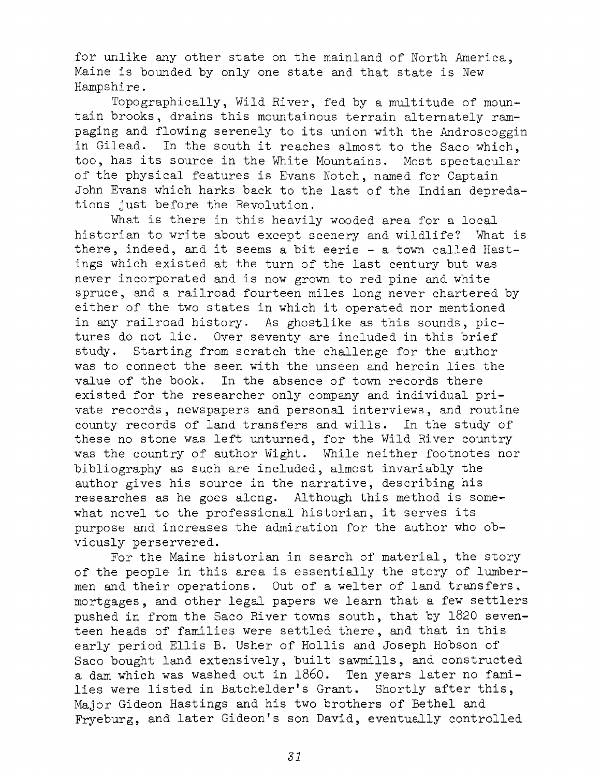for unlike any other state on the mainland of North America, Maine is hounded by only one state and that state is New Hampshire.

Topographically, Wild River, fed by <sup>a</sup> multitude of mountain brooks, drains this mountainous terrain alternately rampaging and flowing serenely to its union with the Androscoggin in Gilead. In the south it reaches almost to the Saco which, too, has its source in the White Mountains. Most spectacular of the physical features is Evans Notch, named for Captain John Evans which harks back to the last of the Indian depredations just before the Revolution.

What is there in this heavily wooded area for a local historian to write about except scenery and wildlife? What is there, indeed, and it seems <sup>a</sup> bit eerie - <sup>a</sup> town called Hastings which existed at the turn of the last century but was never incorporated and is now grown to red pine and white spruce, and a railroad fourteen miles long never chartered by either of the two states in which it operated nor mentioned in any railroad history. As ghostlike as this sounds, pictures do not lie. Over seventy are included in this brief study. Starting from scratch the challenge for the author was to connect the seen with the unseen and herein lies the value of the book. In the absence of town records there existed for the researcher only company and individual private records, newspapers and personal interviews, and routine county records of land transfers and wills. In the study of these no stone was left unturned, for the Wild River country was the country of author Wight. While neither footnotes nor bibliography as such are included, almost invariably the author gives his source in the narrative, describing his researches as he goes along. Although this method is somewhat novel to the professional historian, it serves its purpose and increases the admiration for the author who obviously perservered.

For the Maine historian in search of material, the story of the people in this area is essentially the story of lumbermen and their operations. Out of <sup>a</sup> welter of land transfers, mortgages, and other legal papers we learn that <sup>a</sup> few settlers pushed in from the Saco River towns south, that by 1820 seventeen heads of families were settled there, and that in this early period Ellis B. Usher of Hollis and Joseph Hobson of Saco bought land extensively, built sawmills, and constructed <sup>a</sup> dam which was washed out in i860. Ten years later no families were listed in Batchelder'<sup>s</sup> Grant. Shortly after this, Major Gideon Hastings and his two brothers of Bethel and Fryeburg, and later Gideon'<sup>s</sup> son David, eventually controlled